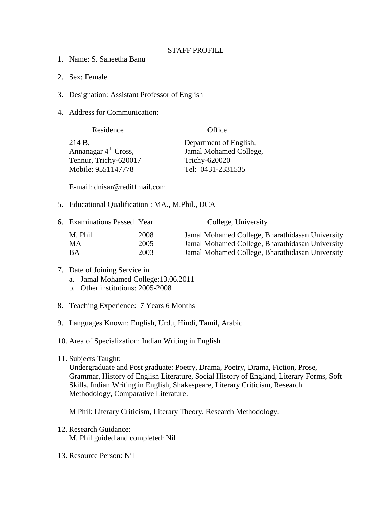## STAFF PROFILE

- 1. Name: S. Saheetha Banu
- 2. Sex: Female
- 3. Designation: Assistant Professor of English
- 4. Address for Communication:

| Residence              | Office                 |
|------------------------|------------------------|
| 214 B,                 | Department of English, |
| Annanagar $4th$ Cross, | Jamal Mohamed College, |
| Tennur, Trichy-620017  | Trichy-620020          |
| Mobile: 9551147778     | Tel: 0431-2331535      |

E-mail: dnisar@rediffmail.com

5. Educational Qualification : MA., M.Phil., DCA

| 6. Examinations Passed Year |      | College, University                             |
|-----------------------------|------|-------------------------------------------------|
| M. Phil                     | 2008 | Jamal Mohamed College, Bharathidasan University |
| MA.                         | 2005 | Jamal Mohamed College, Bharathidasan University |
| <b>BA</b>                   | 2003 | Jamal Mohamed College, Bharathidasan University |

## 7. Date of Joining Service in a. Jamal Mohamed College:13.06.2011

- b. Other institutions: 2005-2008
- 8. Teaching Experience: 7 Years 6 Months
- 9. Languages Known: English, Urdu, Hindi, Tamil, Arabic
- 10. Area of Specialization: Indian Writing in English
- 11. Subjects Taught:

Undergraduate and Post graduate: Poetry, Drama, Poetry, Drama, Fiction, Prose, Grammar, History of English Literature, Social History of England, Literary Forms, Soft Skills, Indian Writing in English, Shakespeare, Literary Criticism, Research Methodology, Comparative Literature.

M Phil: Literary Criticism, Literary Theory, Research Methodology.

- 12. Research Guidance: M. Phil guided and completed: Nil
- 13. Resource Person: Nil